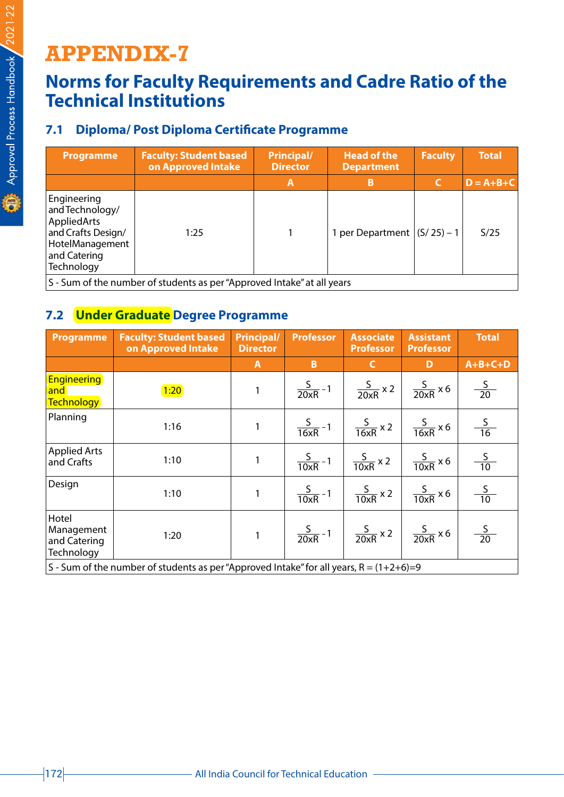# **APPENDIX-7**

## **Norms for Faculty Requirements and Cadre Ratio of the Technical Institutions**

### **7.1 Diploma/ Post Diploma Certificate Programme**

| <b>Programme</b>                                                                                                     | <b>Faculty: Student based</b><br>on Approved Intake                     | <b>Principal/</b><br><b>Director</b> | <b>Head of the</b><br><b>Department</b> |              | <b>Total</b>    |
|----------------------------------------------------------------------------------------------------------------------|-------------------------------------------------------------------------|--------------------------------------|-----------------------------------------|--------------|-----------------|
|                                                                                                                      |                                                                         | A                                    | в                                       |              | $D = A + B + C$ |
| Engineering<br>and Technology/<br>AppliedArts<br>and Crafts Design/<br>HotelManagement<br>and Catering<br>Technology | 1:25                                                                    |                                      | 1 per Department                        | $(S/25) - 1$ | S/25            |
|                                                                                                                      | S - Sum of the number of students as ner "Approved Intake" at all vears |                                      |                                         |              |                 |

mber of students as per "Approved Intake" at all years

#### **7.2 Under Graduate Degree Programme**

| Programme                                                                                 | <b>Faculty: Student based</b><br>on Approved Intake | <b>Principal/</b><br><b>Director</b> | <b>Professor</b>                                                | <b>Associate</b><br><b>Professor</b>                          | <b>Assistant</b><br><b>Professor</b> | <b>Total</b>   |
|-------------------------------------------------------------------------------------------|-----------------------------------------------------|--------------------------------------|-----------------------------------------------------------------|---------------------------------------------------------------|--------------------------------------|----------------|
|                                                                                           |                                                     | $\mathbf{A}$                         | B                                                               | $\mathsf{C}$                                                  | D                                    | $A+B+C+D$      |
| <b>Engineering</b><br>and<br>Technology                                                   | 1:20                                                | 1                                    |                                                                 | $\frac{S}{20xR}$ -1 $\frac{S}{20xR}$ x 2 $\frac{S}{20xR}$ x 6 |                                      | $\frac{S}{20}$ |
| Planning                                                                                  | 1:16                                                | $\mathbf{1}$                         |                                                                 | $\frac{S}{16xR}$ -1 $\frac{S}{16xR}$ x 2 $\frac{S}{16xR}$ x 6 |                                      | $\frac{S}{16}$ |
| <b>Applied Arts</b><br>and Crafts                                                         | 1:10                                                | 1                                    |                                                                 | $\frac{S}{10xR}$ -1 $\frac{S}{10xR}$ x 2 $\frac{S}{10xR}$ x 6 |                                      | $\frac{S}{10}$ |
| Design                                                                                    | 1:10                                                | $\mathbf{1}$                         |                                                                 | $\frac{S}{10xR}$ -1 $\frac{S}{10xR}$ x 2 $\frac{S}{10xR}$ x 6 |                                      | $\frac{S}{10}$ |
| Hotel<br>Management<br>and Catering<br>Technology                                         | 1:20                                                |                                      | 1 $\frac{S}{20xR}$ -1 $\frac{S}{20xR}$ x 2 $\frac{S}{20xR}$ x 6 |                                                               |                                      | $\frac{S}{20}$ |
| S - Sum of the number of students as per "Approved Intake" for all years, $R = (1+2+6)=9$ |                                                     |                                      |                                                                 |                                                               |                                      |                |